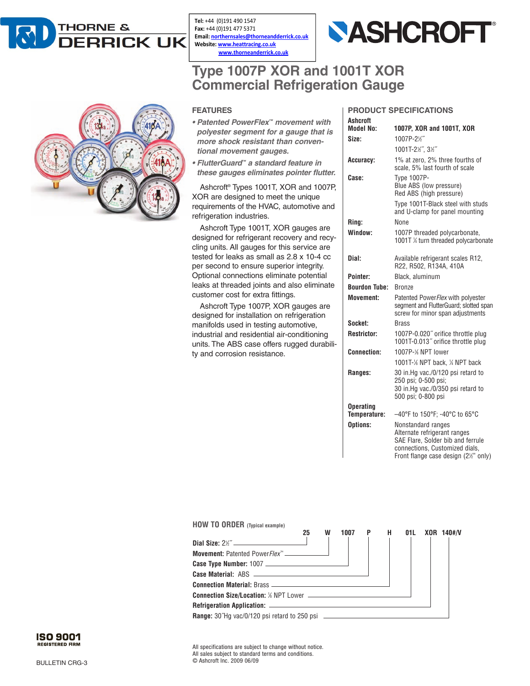

Tel: +44 (0)191 490 1547 Fax: +44 (0)191 477 5371 Email: northernsales@thorneandderrick.co.uk Website: www.heattracing.co.uk www.thorneanderrick.co.uk



## **Type 1007P XOR and 1001T XOR Commercial Refrigeration Gauge**



## **FEATURES**

- *Patented PowerFlex™ movement with polyester segment for a gauge that is more shock resistant than conventional movement gauges.*
- *FlutterGuard™ a standard feature in these gauges eliminates pointer flutter.*

Ashcroft® Types 1001T, XOR and 1007P, XOR are designed to meet the unique requirements of the HVAC, automotive and refrigeration industries.

Ashcroft Type 1001T, XOR gauges are designed for refrigerant recovery and recycling units. All gauges for this service are tested for leaks as small as 2.8 x 10-4 cc per second to ensure superior integrity. Optional connections eliminate potential leaks at threaded joints and also eliminate customer cost for extra fittings.

Ashcroft Type 1007P, XOR gauges are designed for installation on refrigeration manifolds used in testing automotive, industrial and residential air-conditioning units. The ABS case offers rugged durability and corrosion resistance.

|           | <b>PRODUCT SPECIFICATIONS</b>       |
|-----------|-------------------------------------|
| Ashcroft  |                                     |
| Model No: | 1007P. XOR and 1001T. XOR           |
| Size:     | 1007P-2 <sup>1</sup> / <sub>2</sub> |

| Size:                | 1007P-21/2"                                                                                                               |
|----------------------|---------------------------------------------------------------------------------------------------------------------------|
|                      | 1001T-21/2", 31/2"                                                                                                        |
| Accuracy:            | 1% at zero, 2% three fourths of<br>scale, 5% last fourth of scale                                                         |
| Case:                | <b>Type 1007P-</b><br>Blue ABS (low pressure)<br>Red ABS (high pressure)                                                  |
|                      | Type 1001T-Black steel with studs<br>and U-clamp for panel mounting                                                       |
| Ring:                | <b>None</b>                                                                                                               |
| Window:              | 1007P threaded polycarbonate,<br>1001T ¼ turn threaded polycarbonate                                                      |
| Dial:                | Available refrigerant scales R12,<br>R22, R502, R134A, 410A                                                               |
| Pointer:             | Black, aluminum                                                                                                           |
| <b>Bourdon Tube:</b> | <b>Bronze</b>                                                                                                             |
| Movement:            | Patented PowerFlex with polyester<br>segment and FlutterGuard; slotted span<br>screw for minor span adjustments           |
| Socket:              | <b>Brass</b>                                                                                                              |
| <b>Restrictor:</b>   | 1007P-0.020" orifice throttle plug<br>1001T-0.013" orifice throttle plug                                                  |
| <b>Connection:</b>   | 1007P-% NPT lower                                                                                                         |
|                      | 1001T-1% NPT back, 14 NPT back                                                                                            |
| Ranges:              | 30 in.Ho vac./0/120 psi retard to<br>250 psi; 0-500 psi;<br>30 in.Hg vac./0/350 psi retard to<br>500 psi; 0-800 psi       |
| <b>Operating</b>     |                                                                                                                           |
| Temperature:         | -40°F to 150°F; -40°C to 65°C                                                                                             |
| Options:             | Nonstandard ranges<br>Alternate refrigerant ranges<br>SAE Flare, Solder bib and ferrule<br>connections. Customized dials. |

Front flange case design (21/<sub>2</sub>" only)

| <b>HOW TO ORDER</b> (Typical example)                                                  |    |   |      |     |     |                |
|----------------------------------------------------------------------------------------|----|---|------|-----|-----|----------------|
|                                                                                        | 25 | W | 1007 | P H | 01L | $XOR$ 140# $N$ |
|                                                                                        |    |   |      |     |     |                |
|                                                                                        |    |   |      |     |     |                |
|                                                                                        |    |   |      |     |     |                |
|                                                                                        |    |   |      |     |     |                |
|                                                                                        |    |   |      |     |     |                |
|                                                                                        |    |   |      |     |     |                |
|                                                                                        |    |   |      |     |     |                |
| <b>Range:</b> 30 Hg vac/0/120 psi retard to 250 psi __________________________________ |    |   |      |     |     |                |

All specifications are subject to change without notice. All sales subject to standard terms and conditions. © Ashcroft Inc. 2009 06/09